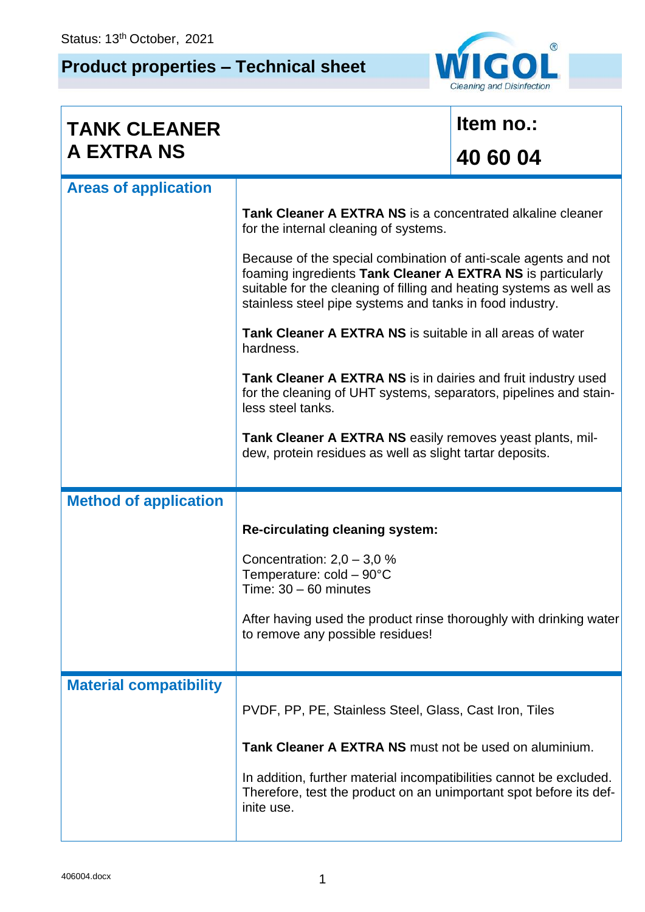## **Product properties – Technical sheet**



| <b>TANK CLEANER</b>           |                                                                                                                                                                                                                                                                   | Item no.: |  |
|-------------------------------|-------------------------------------------------------------------------------------------------------------------------------------------------------------------------------------------------------------------------------------------------------------------|-----------|--|
| <b>A EXTRA NS</b>             |                                                                                                                                                                                                                                                                   | 40 60 04  |  |
| <b>Areas of application</b>   |                                                                                                                                                                                                                                                                   |           |  |
|                               | <b>Tank Cleaner A EXTRA NS</b> is a concentrated alkaline cleaner<br>for the internal cleaning of systems.                                                                                                                                                        |           |  |
|                               | Because of the special combination of anti-scale agents and not<br>foaming ingredients Tank Cleaner A EXTRA NS is particularly<br>suitable for the cleaning of filling and heating systems as well as<br>stainless steel pipe systems and tanks in food industry. |           |  |
|                               | Tank Cleaner A EXTRA NS is suitable in all areas of water<br>hardness.                                                                                                                                                                                            |           |  |
|                               | Tank Cleaner A EXTRA NS is in dairies and fruit industry used<br>for the cleaning of UHT systems, separators, pipelines and stain-<br>less steel tanks.                                                                                                           |           |  |
|                               | Tank Cleaner A EXTRA NS easily removes yeast plants, mil-<br>dew, protein residues as well as slight tartar deposits.                                                                                                                                             |           |  |
| <b>Method of application</b>  |                                                                                                                                                                                                                                                                   |           |  |
|                               | <b>Re-circulating cleaning system:</b>                                                                                                                                                                                                                            |           |  |
|                               | Concentration: $2,0 - 3,0 %$<br>Temperature: $cold - 90^{\circ}C$<br>Time: $30 - 60$ minutes                                                                                                                                                                      |           |  |
|                               | After having used the product rinse thoroughly with drinking water<br>to remove any possible residues!                                                                                                                                                            |           |  |
| <b>Material compatibility</b> |                                                                                                                                                                                                                                                                   |           |  |
|                               | PVDF, PP, PE, Stainless Steel, Glass, Cast Iron, Tiles                                                                                                                                                                                                            |           |  |
|                               | Tank Cleaner A EXTRA NS must not be used on aluminium.                                                                                                                                                                                                            |           |  |
|                               | In addition, further material incompatibilities cannot be excluded.<br>Therefore, test the product on an unimportant spot before its def-<br>inite use.                                                                                                           |           |  |